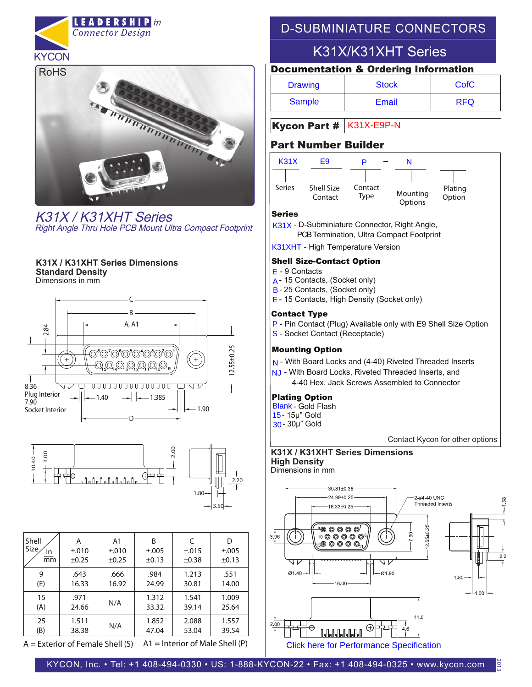



K31X / K31XHT Series Right Angle Thru Hole PCB Mount Ultra Compact Footprint

#### Dimensions in mm **K31X / K31XHT Series Dimensions Standard Density**





| Shell<br><b>Size</b><br>In<br>mm | Α<br>±.010<br>$\pm 0.25$ | A <sub>1</sub><br>±.010<br>±0.25 | B<br>±.005<br>±0.13 | C<br>±.015<br>±0.38 | D<br>±.005<br>±0.13 |
|----------------------------------|--------------------------|----------------------------------|---------------------|---------------------|---------------------|
| 9                                | .643                     | .666                             | .984                | 1.213               | .551                |
| (E)                              | 16.33                    | 16.92                            | 24.99               | 30.81               | 14.00               |
| 15                               | .971                     | N/A                              | 1.312               | 1.541               | 1.009               |
| (A)                              | 24.66                    |                                  | 33.32               | 39.14               | 25.64               |
| 25                               | 1.511                    | N/A                              | 1.852               | 2.088               | 1.557               |
| (B)                              | 38.38                    |                                  | 47.04               | 53.04               | 39.54               |

**A = Exterior of Female Shell (S) A1 = Interior of Male Shell (P)** 

# D-SUBMINIATURE CONNECTORS

# K31X/K31XHT Series

### Documentation & Ordering Information

| <b>Drawing</b> | <b>Stock</b> | CofC       |
|----------------|--------------|------------|
| Sample         | Email        | <b>RFQ</b> |

## Kycon Part # K31X-E9P-N

## Part Number Builder



#### Series

- K31X D-Subminiature Connector, Right Angle,
	- PCB Termination, Ultra Compact Footprint
- K31XHT High Temperature Version

#### Shell Size-Contact Option

- E 9 Contacts
- A 15 Contacts, (Socket only)
- B 25 Contacts, (Socket only)
- E 15 Contacts, High Density (Socket only)

#### Contact Type

- P Pin Contact (Plug) Available only with E9 Shell Size Option
- S Socket Contact (Receptacle)

#### Mounting Option

- N With Board Locks and (4-40) Riveted Threaded Inserts
- NJ With Board Locks, Riveted Threaded Inserts, and 4-40 Hex. Jack Screws Assembled to Connector

#### Plating Option

Blank - Gold Flash 30 - 30µ" Gold 15 - 15µ" Gold N - W<br>NJ - V<br>**Plati**<br>Blank<br>15 - 1:<br>30 - 3

Contact Kycon for other options

Dimensions in mm **K31X / K31XHT Series Dimensions High Density**